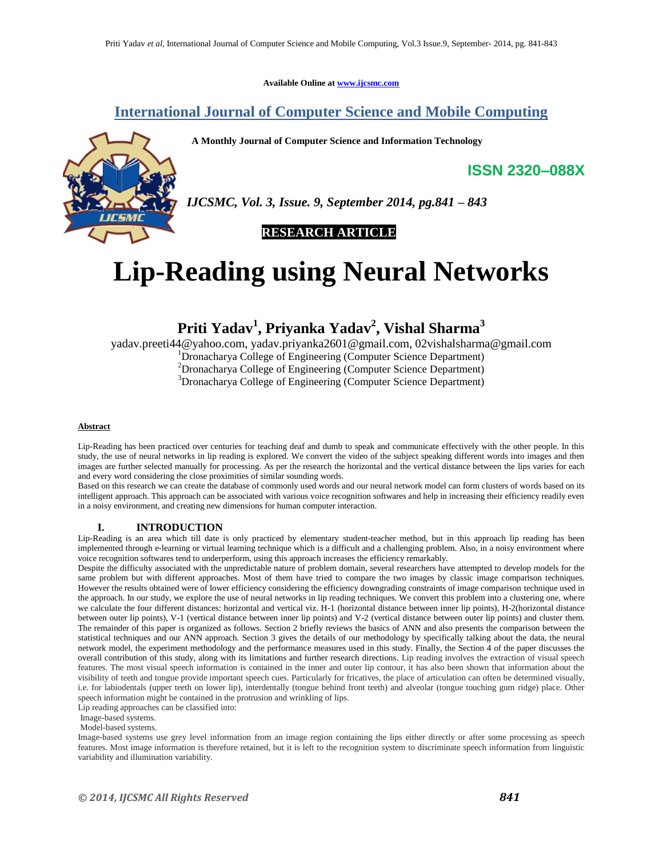**Available Online at www.ijcsmc.com**

## **International Journal of Computer Science and Mobile Computing**

**A Monthly Journal of Computer Science and Information Technology**



*IJCSMC, Vol. 3, Issue. 9, September 2014, pg.841 – 843*

**RESEARCH ARTICLE**

# **Lip-Reading using Neural Networks**

**Priti Yadav<sup>1</sup> , Priyanka Yadav<sup>2</sup> , Vishal Sharma<sup>3</sup>**

yadav.preeti44@yahoo.com, yadav.priyanka2601@gmail.com, 02vishalsharma@gmail.com <sup>1</sup>Dronacharya College of Engineering (Computer Science Department) <sup>2</sup>Dronacharya College of Engineering (Computer Science Department) <sup>3</sup>Dronacharya College of Engineering (Computer Science Department)

#### **Abstract**

Lip-Reading has been practiced over centuries for teaching deaf and dumb to speak and communicate effectively with the other people. In this study, the use of neural networks in lip reading is explored. We convert the video of the subject speaking different words into images and then images are further selected manually for processing. As per the research the horizontal and the vertical distance between the lips varies for each and every word considering the close proximities of similar sounding words.

Based on this research we can create the database of commonly used words and our neural network model can form clusters of words based on its intelligent approach. This approach can be associated with various voice recognition softwares and help in increasing their efficiency readily even in a noisy environment, and creating new dimensions for human computer interaction.

#### **I. INTRODUCTION**

Lip-Reading is an area which till date is only practiced by elementary student-teacher method, but in this approach lip reading has been implemented through e-learning or virtual learning technique which is a difficult and a challenging problem. Also, in a noisy environment where voice recognition softwares tend to underperform, using this approach increases the efficiency remarkably.

Despite the difficulty associated with the unpredictable nature of problem domain, several researchers have attempted to develop models for the same problem but with different approaches. Most of them have tried to compare the two images by classic image comparison techniques. However the results obtained were of lower efficiency considering the efficiency downgrading constraints of image comparison technique used in the approach. In our study, we explore the use of neural networks in lip reading techniques. We convert this problem into a clustering one, where we calculate the four different distances: horizontal and vertical viz. H-1 (horizontal distance between inner lip points), H-2(horizontal distance between outer lip points), V-1 (vertical distance between inner lip points) and V-2 (vertical distance between outer lip points) and cluster them. The remainder of this paper is organized as follows. Section 2 briefly reviews the basics of ANN and also presents the comparison between the statistical techniques and our ANN approach. Section 3 gives the details of our methodology by specifically talking about the data, the neural network model, the experiment methodology and the performance measures used in this study. Finally, the Section 4 of the paper discusses the overall contribution of this study, along with its limitations and further research directions. Lip reading involves the extraction of visual speech features. The most visual speech information is contained in the inner and outer lip contour, it has also been shown that information about the visibility of teeth and tongue provide important speech cues. Particularly for fricatives, the place of articulation can often be determined visually, i.e. for labiodentals (upper teeth on lower lip), interdentally (tongue behind front teeth) and alveolar (tongue touching gum ridge) place. Other speech information might be contained in the protrusion and wrinkling of lips.

Lip reading approaches can be classified into:

Image-based systems.

Model-based systems.

Image-based systems use grey level information from an image region containing the lips either directly or after some processing as speech features. Most image information is therefore retained, but it is left to the recognition system to discriminate speech information from linguistic variability and illumination variability.

**ISSN 2320–088X**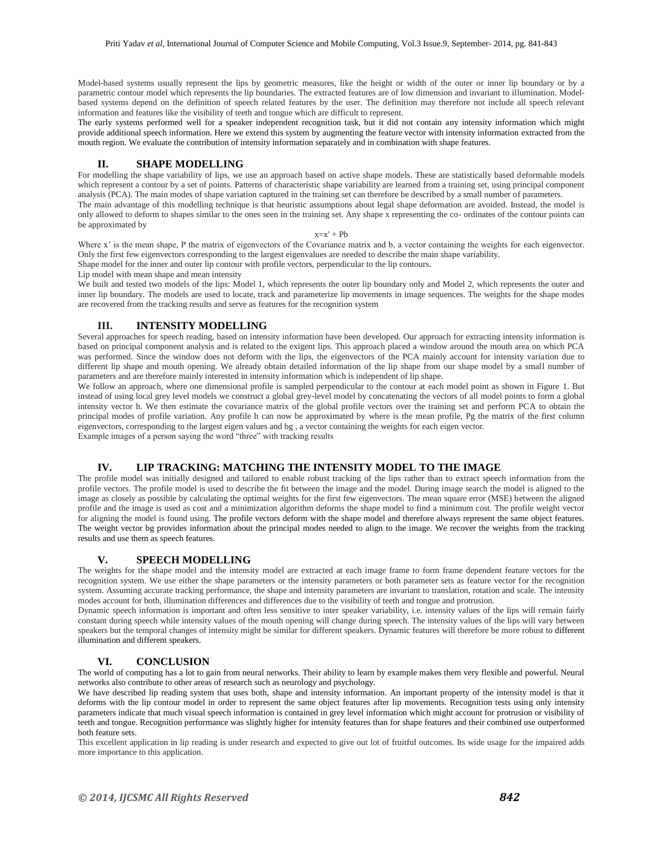Model-based systems usually represent the lips by geometric measures, like the height or width of the outer or inner lip boundary or by a parametric contour model which represents the lip boundaries. The extracted features are of low dimension and invariant to illumination. Modelbased systems depend on the definition of speech related features by the user. The definition may therefore not include all speech relevant information and features like the visibility of teeth and tongue which are difficult to represent.

The early systems performed well for a speaker independent recognition task, but it did not contain any intensity information which might provide additional speech information. Here we extend this system by augmenting the feature vector with intensity information extracted from the mouth region. We evaluate the contribution of intensity information separately and in combination with shape features.

### **II. SHAPE MODELLING**

For modelling the shape variability of lips, we use an approach based on active shape models. These are statistically based deformable models which represent a contour by a set of points. Patterns of characteristic shape variability are learned from a training set, using principal component analysis (PCA). The main modes of shape variation captured in the training set can therefore be described by a small number of parameters. The main advantage of this modelling technique is that heuristic assumptions about legal shape deformation are avoided. Instead, the model is only allowed to deform to shapes similar to the ones seen in the training set. Any shape x representing the co- ordinates of the contour points can be approximated by

#### $x=x' + Pb$

Where x' is the mean shape, P the matrix of eigenvectors of the Covariance matrix and b, a vector containing the weights for each eigenvector. Only the first few eigenvectors corresponding to the largest eigenvalues are needed to describe the main shape variability.

Shape model for the inner and outer lip contour with profile vectors, perpendicular to the lip contours.

Lip model with mean shape and mean intensity

We built and tested two models of the lips: Model 1, which represents the outer lip boundary only and Model 2, which represents the outer and inner lip boundary. The models are used to locate, track and parameterize lip movements in image sequences. The weights for the shape modes are recovered from the tracking results and serve as features for the recognition system

#### **III. INTENSITY MODELLING**

Several approaches for speech reading, based on intensity information have been developed. Our approach for extracting intensity information is based on principal component analysis and is related to the exigent lips. This approach placed a window around the mouth area on which PCA was performed. Since the window does not deform with the lips, the eigenvectors of the PCA mainly account for intensity variation due to different lip shape and mouth opening. We already obtain detailed information of the lip shape from our shape model by a small number of parameters and are therefore mainly interested in intensity information which is independent of lip shape.

We follow an approach, where one dimensional profile is sampled perpendicular to the contour at each model point as shown in Figure 1. But instead of using local grey level models we construct a global grey-level model by concatenating the vectors of all model points to form a global intensity vector h. We then estimate the covariance matrix of the global profile vectors over the training set and perform PCA to obtain the principal modes of profile variation. Any profile h can now be approximated by where is the mean profile, Pg the matrix of the first column eigenvectors, corresponding to the largest eigen values and bg , a vector containing the weights for each eigen vector. Example images of a person saying the word "three" with tracking results

#### **IV. LIP TRACKING: MATCHING THE INTENSITY MODEL TO THE IMAGE**

The profile model was initially designed and tailored to enable robust tracking of the lips rather than to extract speech information from the profile vectors. The profile model is used to describe the fit between the image and the model. During image search the model is aligned to the image as closely as possible by calculating the optimal weights for the first few eigenvectors. The mean square error (MSE) between the aligned profile and the image is used as cost and a minimization algorithm deforms the shape model to find a minimum cost. The profile weight vector for aligning the model is found using. The profile vectors deform with the shape model and therefore always represent the same object features. The weight vector bg provides information about the principal modes needed to align to the image. We recover the weights from the tracking results and use them as speech features.

#### **V. SPEECH MODELLING**

The weights for the shape model and the intensity model are extracted at each image frame to form frame dependent feature vectors for the recognition system. We use either the shape parameters or the intensity parameters or both parameter sets as feature vector for the recognition system. Assuming accurate tracking performance, the shape and intensity parameters are invariant to translation, rotation and scale. The intensity modes account for both, illumination differences and differences due to the visibility of teeth and tongue and protrusion.

Dynamic speech information is important and often less sensitive to inter speaker variability, i.e. intensity values of the lips will remain fairly constant during speech while intensity values of the mouth opening will change during speech. The intensity values of the lips will vary between speakers but the temporal changes of intensity might be similar for different speakers. Dynamic features will therefore be more robust to different illumination and different speakers.

#### **VI. CONCLUSION**

The world of computing has a lot to gain from neural networks. Their ability to learn by example makes them very flexible and powerful. Neural networks also contribute to other areas of research such as neurology and psychology.

We have described lip reading system that uses both, shape and intensity information. An important property of the intensity model is that it deforms with the lip contour model in order to represent the same object features after lip movements. Recognition tests using only intensity parameters indicate that much visual speech information is contained in grey level information which might account for protrusion or visibility of teeth and tongue. Recognition performance was slightly higher for intensity features than for shape features and their combined use outperformed both feature sets.

This excellent application in lip reading is under research and expected to give out lot of fruitful outcomes. Its wide usage for the impaired adds more importance to this application.